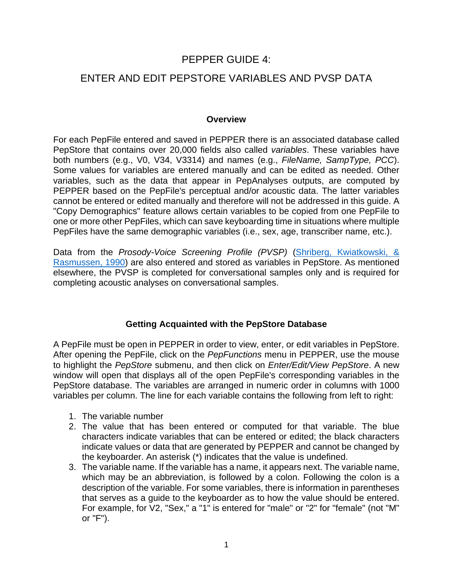## PEPPER GUIDE 4:

# ENTER AND EDIT PEPSTORE VARIABLES AND PVSP DATA

#### **Overview**

For each PepFile entered and saved in PEPPER there is an associated database called PepStore that contains over 20,000 fields also called *variables*. These variables have both numbers (e.g., V0, V34, V3314) and names (e.g., *FileName, SampType, PCC*). Some values for variables are entered manually and can be edited as needed. Other variables, such as the data that appear in PepAnalyses outputs, are computed by PEPPER based on the PepFile's perceptual and/or acoustic data. The latter variables cannot be entered or edited manually and therefore will not be addressed in this guide. A "Copy Demographics" feature allows certain variables to be copied from one PepFile to one or more other PepFiles, which can save keyboarding time in situations where multiple PepFiles have the same demographic variables (i.e., sex, age, transcriber name, etc.).

Data from the *Prosody-Voice Screening Profile (PVSP)* (Shriberg, Kwiatkowski, & [Rasmussen, 1990\) are also entered and stored as variables in PepStore. As mentioned](https://uwmadison.box.com/s/dw2pvjnd0cjxw989e5m4ew019z39elg2)  elsewhere, the PVSP is completed for conversational samples only and is required for completing acoustic analyses on conversational samples.

### **Getting Acquainted with the PepStore Database**

A PepFile must be open in PEPPER in order to view, enter, or edit variables in PepStore. After opening the PepFile, click on the *PepFunctions* menu in PEPPER, use the mouse to highlight the *PepStore* submenu, and then click on *Enter/Edit/View PepStore*. A new window will open that displays all of the open PepFile's corresponding variables in the PepStore database. The variables are arranged in numeric order in columns with 1000 variables per column. The line for each variable contains the following from left to right:

- 1. The variable number
- 2. The value that has been entered or computed for that variable. The blue characters indicate variables that can be entered or edited; the black characters indicate values or data that are generated by PEPPER and cannot be changed by the keyboarder. An asterisk (\*) indicates that the value is undefined.
- 3. The variable name. If the variable has a name, it appears next. The variable name, which may be an abbreviation, is followed by a colon. Following the colon is a description of the variable. For some variables, there is information in parentheses that serves as a guide to the keyboarder as to how the value should be entered. For example, for V2, "Sex," a "1" is entered for "male" or "2" for "female" (not "M" or "F").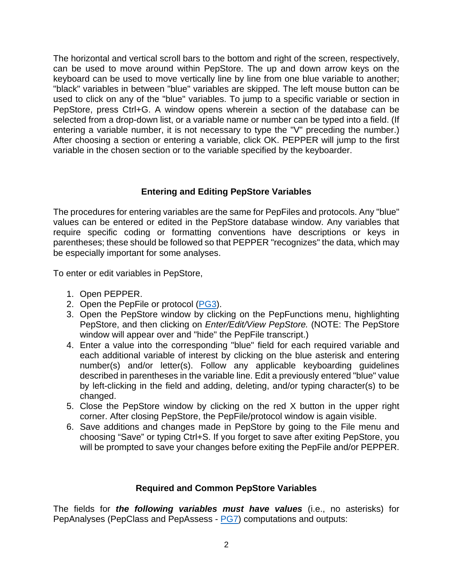The horizontal and vertical scroll bars to the bottom and right of the screen, respectively, can be used to move around within PepStore. The up and down arrow keys on the keyboard can be used to move vertically line by line from one blue variable to another; "black" variables in between "blue" variables are skipped. The left mouse button can be used to click on any of the "blue" variables. To jump to a specific variable or section in PepStore, press Ctrl+G. A window opens wherein a section of the database can be selected from a drop-down list, or a variable name or number can be typed into a field. (If entering a variable number, it is not necessary to type the "V" preceding the number.) After choosing a section or entering a variable, click OK. PEPPER will jump to the first variable in the chosen section or to the variable specified by the keyboarder.

## **Entering and Editing PepStore Variables**

The procedures for entering variables are the same for PepFiles and protocols. Any "blue" values can be entered or edited in the PepStore database window. Any variables that require specific coding or formatting conventions have descriptions or keys in parentheses; these should be followed so that PEPPER "recognizes" the data, which may be especially important for some analyses.

To enter or edit variables in PepStore,

- 1. Open PEPPER.
- 2. Open the PepFile or protocol ([PG3\)](https://phonology.waisman.wisc.edu/wp-content/uploads/sites/532/2019/07/PEPPER-Guide-3.pdf).
- 3. Open the PepStore window by clicking on the PepFunctions menu, highlighting PepStore, and then clicking on *Enter/Edit/View PepStore.* (NOTE: The PepStore window will appear over and "hide" the PepFile transcript.)
- 4. Enter a value into the corresponding "blue" field for each required variable and each additional variable of interest by clicking on the blue asterisk and entering number(s) and/or letter(s). Follow any applicable keyboarding guidelines described in parentheses in the variable line. Edit a previously entered "blue" value by left-clicking in the field and adding, deleting, and/or typing character(s) to be changed.
- 5. Close the PepStore window by clicking on the red X button in the upper right corner. After closing PepStore, the PepFile/protocol window is again visible.
- 6. Save additions and changes made in PepStore by going to the File menu and choosing "Save" or typing Ctrl+S. If you forget to save after exiting PepStore, you will be prompted to save your changes before exiting the PepFile and/or PEPPER.

### **Required and Common PepStore Variables**

The fields for *the following variables must have values* (i.e., no asterisks) for PepAnalyses (PepClass and PepAssess - [PG7](https://phonology.waisman.wisc.edu/wp-content/uploads/sites/532/2019/07/Pepper-Guide-7.pdf)) computations and outputs: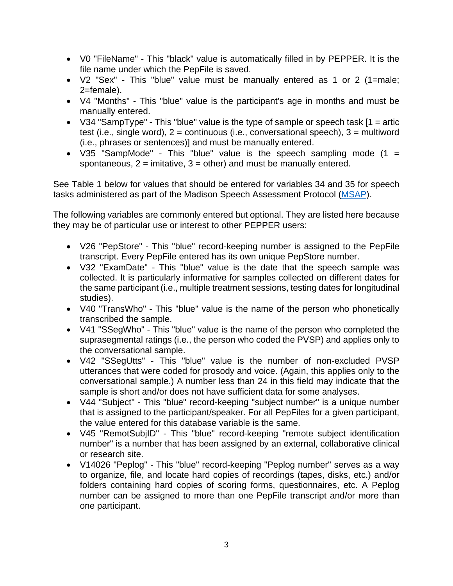- V0 "FileName" This "black" value is automatically filled in by PEPPER. It is the file name under which the PepFile is saved.
- V2 "Sex" This "blue" value must be manually entered as 1 or 2 (1=male; 2=female).
- V4 "Months" This "blue" value is the participant's age in months and must be manually entered.
- V34 "SampType" This "blue" value is the type of sample or speech task  $[1 = \text{artic}]$ test (i.e., single word),  $2 =$  continuous (i.e., conversational speech),  $3 =$  multiword (i.e., phrases or sentences)] and must be manually entered.
- V35 "SampMode" This "blue" value is the speech sampling mode  $(1 =$ spontaneous,  $2 = \text{imitative}, 3 = \text{other}$  and must be manually entered.

See Table 1 below for values that should be entered for variables 34 and 35 for speech tasks administered as part of the Madison Speech Assessment Protocol ([MSAP](https://phonology.waisman.wisc.edu/about-the-msap/)).

The following variables are commonly entered but optional. They are listed here because they may be of particular use or interest to other PEPPER users:

- V26 "PepStore" This "blue" record-keeping number is assigned to the PepFile transcript. Every PepFile entered has its own unique PepStore number.
- V32 "ExamDate" This "blue" value is the date that the speech sample was collected. It is particularly informative for samples collected on different dates for the same participant (i.e., multiple treatment sessions, testing dates for longitudinal studies).
- V40 "TransWho" This "blue" value is the name of the person who phonetically transcribed the sample.
- V41 "SSegWho" This "blue" value is the name of the person who completed the suprasegmental ratings (i.e., the person who coded the PVSP) and applies only to the conversational sample.
- V42 "SSegUtts" This "blue" value is the number of non-excluded PVSP utterances that were coded for prosody and voice. (Again, this applies only to the conversational sample.) A number less than 24 in this field may indicate that the sample is short and/or does not have sufficient data for some analyses.
- V44 "Subject" This "blue" record-keeping "subject number" is a unique number that is assigned to the participant/speaker. For all PepFiles for a given participant, the value entered for this database variable is the same.
- V45 "RemotSubjID" This "blue" record-keeping "remote subject identification number" is a number that has been assigned by an external, collaborative clinical or research site.
- V14026 "Peplog" This "blue" record-keeping "Peplog number" serves as a way to organize, file, and locate hard copies of recordings (tapes, disks, etc.) and/or folders containing hard copies of scoring forms, questionnaires, etc. A Peplog number can be assigned to more than one PepFile transcript and/or more than one participant.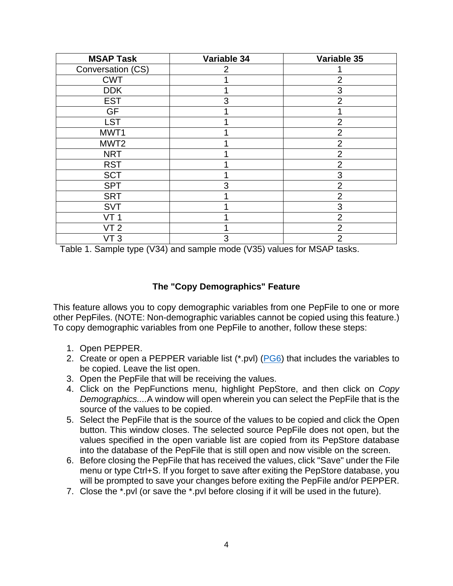| <b>MSAP Task</b>  | Variable 34 | Variable 35    |
|-------------------|-------------|----------------|
| Conversation (CS) | 2           |                |
| <b>CWT</b>        |             | 2              |
| <b>DDK</b>        |             | 3              |
| <b>EST</b>        | 3           | $\overline{2}$ |
| <b>GF</b>         |             |                |
| <b>LST</b>        |             | $\overline{2}$ |
| MWT1              |             | $\overline{2}$ |
| MWT <sub>2</sub>  |             | $\overline{2}$ |
| <b>NRT</b>        |             | $\overline{2}$ |
| <b>RST</b>        |             | $\overline{2}$ |
| <b>SCT</b>        |             | 3              |
| <b>SPT</b>        | 3           | $\overline{2}$ |
| <b>SRT</b>        |             | $\overline{2}$ |
| <b>SVT</b>        |             | 3              |
| <b>VT1</b>        |             | $\overline{2}$ |
| VT 2              |             | $\overline{2}$ |
| VT 3              | 3           | $\overline{2}$ |

Table 1. Sample type (V34) and sample mode (V35) values for MSAP tasks.

## **The "Copy Demographics" Feature**

This feature allows you to copy demographic variables from one PepFile to one or more other PepFiles. (NOTE: Non-demographic variables cannot be copied using this feature.) To copy demographic variables from one PepFile to another, follow these steps:

- 1. Open PEPPER.
- 2. Create or open a PEPPER variable list (\*.pvl) [\(PG6](https://phonology.waisman.wisc.edu/wp-content/uploads/sites/532/2019/08/PEPPER-Guide-6.pdf)) that includes the variables to be copied. Leave the list open.
- 3. Open the PepFile that will be receiving the values.
- 4. Click on the PepFunctions menu, highlight PepStore, and then click on *Copy Demographics....*A window will open wherein you can select the PepFile that is the source of the values to be copied.
- 5. Select the PepFile that is the source of the values to be copied and click the Open button. This window closes. The selected source PepFile does not open, but the values specified in the open variable list are copied from its PepStore database into the database of the PepFile that is still open and now visible on the screen.
- 6. Before closing the PepFile that has received the values, click "Save" under the File menu or type Ctrl+S. If you forget to save after exiting the PepStore database, you will be prompted to save your changes before exiting the PepFile and/or PEPPER.
- 7. Close the \*.pvl (or save the \*.pvl before closing if it will be used in the future).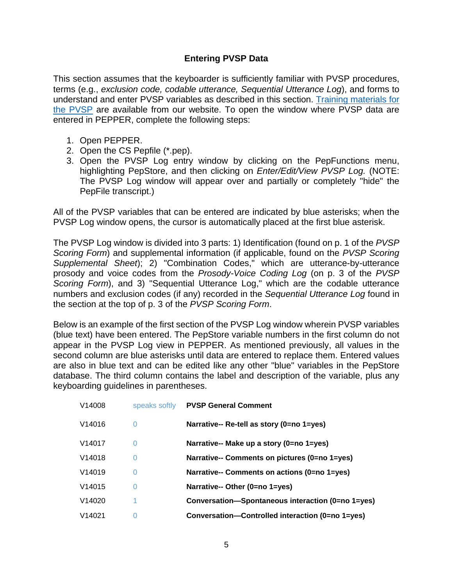### **Entering PVSP Data**

This section assumes that the keyboarder is sufficiently familiar with PVSP procedures, terms (e.g., *exclusion code, codable utterance, Sequential Utterance Log*), and forms to [understand and enter PVSP variables as described in this section. Training materials for](https://phonology.waisman.wisc.edu/pvsp-manual/) the PVSP are available from our website. To open the window where PVSP data are entered in PEPPER, complete the following steps:

- 1. Open PEPPER.
- 2. Open the CS Pepfile (\*.pep).
- 3. Open the PVSP Log entry window by clicking on the PepFunctions menu, highlighting PepStore, and then clicking on *Enter/Edit/View PVSP Log.* (NOTE: The PVSP Log window will appear over and partially or completely "hide" the PepFile transcript.)

All of the PVSP variables that can be entered are indicated by blue asterisks; when the PVSP Log window opens, the cursor is automatically placed at the first blue asterisk.

The PVSP Log window is divided into 3 parts: 1) Identification (found on p. 1 of the *PVSP Scoring Form*) and supplemental information (if applicable, found on the *PVSP Scoring Supplemental Sheet*); 2) "Combination Codes," which are utterance-by-utterance prosody and voice codes from the *Prosody-Voice Coding Log* (on p. 3 of the *PVSP Scoring Form*), and 3) "Sequential Utterance Log," which are the codable utterance numbers and exclusion codes (if any) recorded in the *Sequential Utterance Log* found in the section at the top of p. 3 of the *PVSP Scoring Form*.

Below is an example of the first section of the PVSP Log window wherein PVSP variables (blue text) have been entered. The PepStore variable numbers in the first column do not appear in the PVSP Log view in PEPPER. As mentioned previously, all values in the second column are blue asterisks until data are entered to replace them. Entered values are also in blue text and can be edited like any other "blue" variables in the PepStore database. The third column contains the label and description of the variable, plus any keyboarding guidelines in parentheses.

| V14008             | speaks softly  | <b>PVSP General Comment</b>                       |
|--------------------|----------------|---------------------------------------------------|
| V <sub>14016</sub> | 0              | Narrative-- Re-tell as story (0=no 1=yes)         |
| V <sub>14017</sub> | $\overline{0}$ | Narrative-- Make up a story (0=no 1=yes)          |
| V <sub>14018</sub> | 0              | Narrative-- Comments on pictures (0=no 1=yes)     |
| V <sub>14019</sub> | 0              | Narrative-- Comments on actions (0=no 1=yes)      |
| V <sub>14015</sub> | 0              | Narrative-- Other (0=no 1=yes)                    |
| V14020             |                | Conversation-Spontaneous interaction (0=no 1=yes) |
| V14021             | 0              | Conversation-Controlled interaction (0=no 1=yes)  |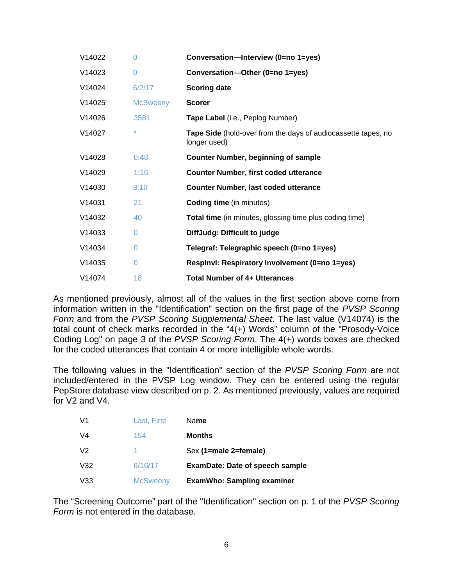| V14022 | $\Omega$        | Conversation-Interview (0=no 1=yes)                                           |
|--------|-----------------|-------------------------------------------------------------------------------|
| V14023 | $\overline{0}$  | Conversation-Other (0=no 1=yes)                                               |
| V14024 | 6/2/17          | <b>Scoring date</b>                                                           |
| V14025 | <b>McSweeny</b> | <b>Scorer</b>                                                                 |
| V14026 | 3581            | Tape Label (i.e., Peplog Number)                                              |
| V14027 | *               | Tape Side (hold-over from the days of audiocassette tapes, no<br>longer used) |
| V14028 | 0:48            | <b>Counter Number, beginning of sample</b>                                    |
| V14029 | 1:16            | <b>Counter Number, first coded utterance</b>                                  |
| V14030 | 8:10            | <b>Counter Number, last coded utterance</b>                                   |
| V14031 | 21              | <b>Coding time</b> (in minutes)                                               |
| V14032 | 40              | <b>Total time</b> (in minutes, glossing time plus coding time)                |
| V14033 | 0               | DiffJudg: Difficult to judge                                                  |
| V14034 | 0               | Telegraf: Telegraphic speech (0=no 1=yes)                                     |
| V14035 | $\Omega$        | Resplnvl: Respiratory Involvement (0=no 1=yes)                                |
| V14074 | 18              | <b>Total Number of 4+ Utterances</b>                                          |

As mentioned previously, almost all of the values in the first section above come from information written in the "Identification" section on the first page of the *PVSP Scoring Form* and from the *PVSP Scoring Supplemental Sheet*. The last value (V14074) is the total count of check marks recorded in the "4(+) Words" column of the "Prosody-Voice Coding Log" on page 3 of the *PVSP Scoring Form*. The 4(+) words boxes are checked for the coded utterances that contain 4 or more intelligible whole words.

The following values in the "Identification" section of the *PVSP Scoring Form* are not included/entered in the PVSP Log window. They can be entered using the regular PepStore database view described on p. 2. As mentioned previously, values are required for V2 and V4.

| V1             | Last, First     | Name                                   |
|----------------|-----------------|----------------------------------------|
| V4             | 154             | <b>Months</b>                          |
| V <sub>2</sub> |                 | Sex (1=male 2=female)                  |
| V32            | 6/16/17         | <b>ExamDate: Date of speech sample</b> |
| V33            | <b>McSweeny</b> | <b>ExamWho: Sampling examiner</b>      |

The "Screening Outcome" part of the "Identification" section on p. 1 of the *PVSP Scoring Form* is not entered in the database.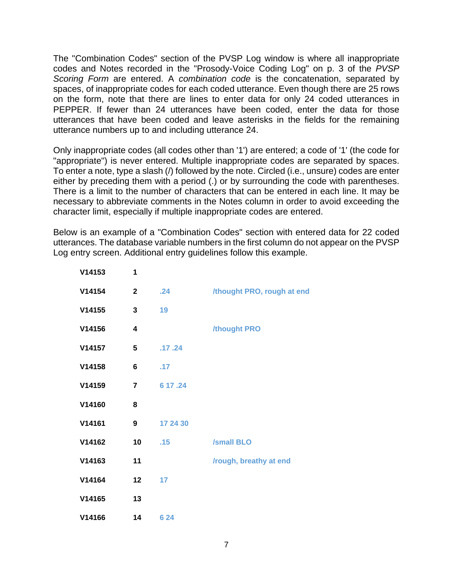The "Combination Codes" section of the PVSP Log window is where all inappropriate codes and Notes recorded in the "Prosody-Voice Coding Log" on p. 3 of the *PVSP Scoring Form* are entered. A *combination code* is the concatenation, separated by spaces, of inappropriate codes for each coded utterance. Even though there are 25 rows on the form, note that there are lines to enter data for only 24 coded utterances in PEPPER. If fewer than 24 utterances have been coded, enter the data for those utterances that have been coded and leave asterisks in the fields for the remaining utterance numbers up to and including utterance 24.

Only inappropriate codes (all codes other than '1') are entered; a code of '1' (the code for "appropriate") is never entered. Multiple inappropriate codes are separated by spaces. To enter a note, type a slash (/) followed by the note. Circled (i.e., unsure) codes are enter either by preceding them with a period (.) or by surrounding the code with parentheses. There is a limit to the number of characters that can be entered in each line. It may be necessary to abbreviate comments in the Notes column in order to avoid exceeding the character limit, especially if multiple inappropriate codes are entered.

Below is an example of a "Combination Codes" section with entered data for 22 coded utterances. The database variable numbers in the first column do not appear on the PVSP Log entry screen. Additional entry guidelines follow this example.

| V14153 | 1              |          |                            |
|--------|----------------|----------|----------------------------|
| V14154 | $\overline{2}$ | .24      | /thought PRO, rough at end |
| V14155 | 3              | 19       |                            |
| V14156 | 4              |          | /thought PRO               |
| V14157 | 5              | .17.24   |                            |
| V14158 | 6              | .17      |                            |
| V14159 | $\overline{7}$ | 6 17 .24 |                            |
| V14160 | 8              |          |                            |
| V14161 | 9              | 17 24 30 |                            |
| V14162 | 10             | .15      | <b>/small BLO</b>          |
| V14163 | 11             |          | /rough, breathy at end     |
| V14164 | 12             | 17       |                            |
| V14165 | 13             |          |                            |
| V14166 | 14             | 6 24     |                            |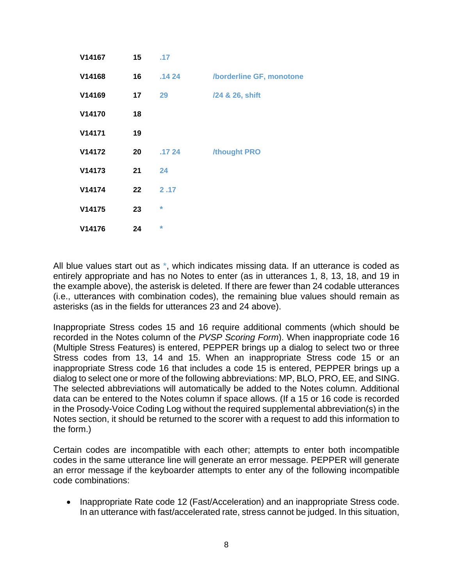| V14167 | 15 <sub>1</sub> | .17     |                          |
|--------|-----------------|---------|--------------------------|
| V14168 | 16              | .1424   | /borderline GF, monotone |
| V14169 | 17              | 29      | /24 & 26, shift          |
| V14170 | 18              |         |                          |
| V14171 | 19              |         |                          |
| V14172 | 20              | .1724   | /thought PRO             |
| V14173 | 21              | 24      |                          |
| V14174 | $22 \,$         | 2.17    |                          |
| V14175 | 23              | $\star$ |                          |
| V14176 | 24              | $\star$ |                          |

All blue values start out as \*, which indicates missing data. If an utterance is coded as entirely appropriate and has no Notes to enter (as in utterances 1, 8, 13, 18, and 19 in the example above), the asterisk is deleted. If there are fewer than 24 codable utterances (i.e., utterances with combination codes), the remaining blue values should remain as asterisks (as in the fields for utterances 23 and 24 above).

Inappropriate Stress codes 15 and 16 require additional comments (which should be recorded in the Notes column of the *PVSP Scoring Form*). When inappropriate code 16 (Multiple Stress Features) is entered, PEPPER brings up a dialog to select two or three Stress codes from 13, 14 and 15. When an inappropriate Stress code 15 or an inappropriate Stress code 16 that includes a code 15 is entered, PEPPER brings up a dialog to select one or more of the following abbreviations: MP, BLO, PRO, EE, and SING. The selected abbreviations will automatically be added to the Notes column. Additional data can be entered to the Notes column if space allows. (If a 15 or 16 code is recorded in the Prosody-Voice Coding Log without the required supplemental abbreviation(s) in the Notes section, it should be returned to the scorer with a request to add this information to the form.)

Certain codes are incompatible with each other; attempts to enter both incompatible codes in the same utterance line will generate an error message. PEPPER will generate an error message if the keyboarder attempts to enter any of the following incompatible code combinations:

• Inappropriate Rate code 12 (Fast/Acceleration) and an inappropriate Stress code. In an utterance with fast/accelerated rate, stress cannot be judged. In this situation,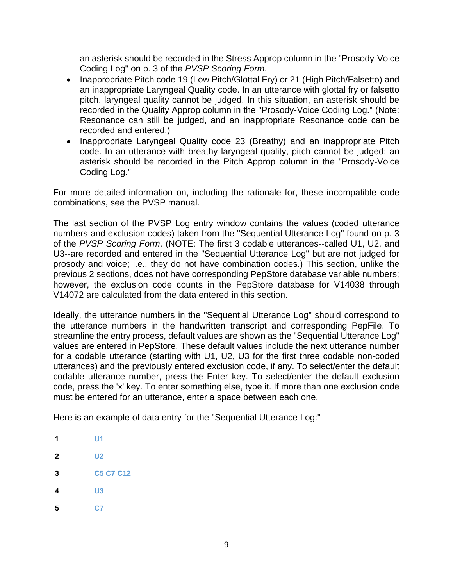an asterisk should be recorded in the Stress Approp column in the "Prosody-Voice Coding Log" on p. 3 of the *PVSP Scoring Form*.

- Inappropriate Pitch code 19 (Low Pitch/Glottal Fry) or 21 (High Pitch/Falsetto) and an inappropriate Laryngeal Quality code. In an utterance with glottal fry or falsetto pitch, laryngeal quality cannot be judged. In this situation, an asterisk should be recorded in the Quality Approp column in the "Prosody-Voice Coding Log." (Note: Resonance can still be judged, and an inappropriate Resonance code can be recorded and entered.)
- Inappropriate Laryngeal Quality code 23 (Breathy) and an inappropriate Pitch code. In an utterance with breathy laryngeal quality, pitch cannot be judged; an asterisk should be recorded in the Pitch Approp column in the "Prosody-Voice Coding Log."

For more detailed information on, including the rationale for, these incompatible code combinations, see the PVSP manual.

The last section of the PVSP Log entry window contains the values (coded utterance numbers and exclusion codes) taken from the "Sequential Utterance Log" found on p. 3 of the *PVSP Scoring Form*. (NOTE: The first 3 codable utterances--called U1, U2, and U3--are recorded and entered in the "Sequential Utterance Log" but are not judged for prosody and voice; i.e., they do not have combination codes.) This section, unlike the previous 2 sections, does not have corresponding PepStore database variable numbers; however, the exclusion code counts in the PepStore database for V14038 through V14072 are calculated from the data entered in this section.

Ideally, the utterance numbers in the "Sequential Utterance Log" should correspond to the utterance numbers in the handwritten transcript and corresponding PepFile. To streamline the entry process, default values are shown as the "Sequential Utterance Log" values are entered in PepStore. These default values include the next utterance number for a codable utterance (starting with U1, U2, U3 for the first three codable non-coded utterances) and the previously entered exclusion code, if any. To select/enter the default codable utterance number, press the Enter key. To select/enter the default exclusion code, press the 'x' key. To enter something else, type it. If more than one exclusion code must be entered for an utterance, enter a space between each one.

Here is an example of data entry for the "Sequential Utterance Log:"

- **1 U1**
- **2 U2**
- **3 C5 C7 C12**
- **4 U3**
- **5 C7**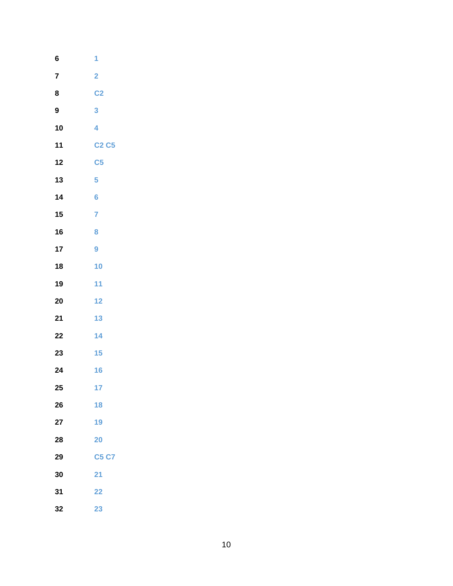| 6  | 1                       |
|----|-------------------------|
| 7  | $\overline{\mathbf{2}}$ |
| 8  | C <sub>2</sub>          |
| 9  | 3                       |
| 10 | 4                       |
| 11 | <b>C2 C5</b>            |
| 12 | C <sub>5</sub>          |
| 13 | 5                       |
| 14 | $6\phantom{a}$          |
| 15 | $\overline{7}$          |
| 16 | 8                       |
| 17 | 9                       |
| 18 | 10                      |
| 19 | 11                      |
| 20 | 12                      |
| 21 | 13                      |
| 22 | 14                      |
| 23 | 15                      |
| 24 | 16                      |
| 25 | 17                      |
| 26 | 18                      |
| 27 | 19                      |
| 28 | 20                      |
| 29 | <b>C5 C7</b>            |
| 30 | 21                      |
| 31 | 22                      |
| 32 | 23                      |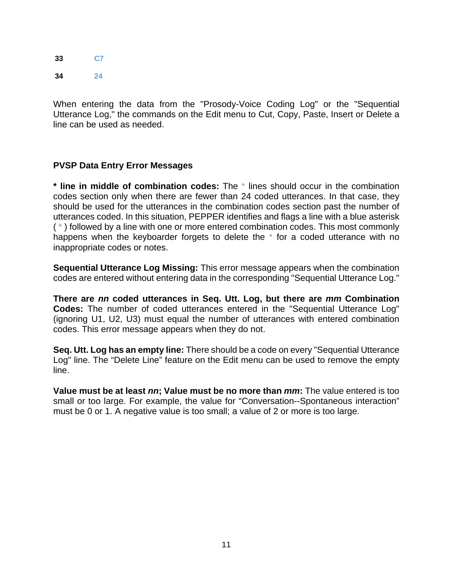**33 C7 34 24**

When entering the data from the "Prosody-Voice Coding Log" or the "Sequential Utterance Log," the commands on the Edit menu to Cut, Copy, Paste, Insert or Delete a line can be used as needed.

## **PVSP Data Entry Error Messages**

**\* line in middle of combination codes:** The \* lines should occur in the combination codes section only when there are fewer than 24 coded utterances. In that case, they should be used for the utterances in the combination codes section past the number of utterances coded. In this situation, PEPPER identifies and flags a line with a blue asterisk ( \* ) followed by a line with one or more entered combination codes. This most commonly happens when the keyboarder forgets to delete the \* for a coded utterance with no inappropriate codes or notes.

**Sequential Utterance Log Missing:** This error message appears when the combination codes are entered without entering data in the corresponding "Sequential Utterance Log."

**There are** *nn* **coded utterances in Seq. Utt. Log, but there are** *mm* **Combination Codes:** The number of coded utterances entered in the "Sequential Utterance Log" (ignoring U1, U2, U3) must equal the number of utterances with entered combination codes. This error message appears when they do not.

**Seq. Utt. Log has an empty line:** There should be a code on every "Sequential Utterance Log" line. The "Delete Line" feature on the Edit menu can be used to remove the empty line.

**Value must be at least** *nn***; Value must be no more than** *mm***:** The value entered is too small or too large. For example, the value for "Conversation--Spontaneous interaction" must be 0 or 1. A negative value is too small; a value of 2 or more is too large.